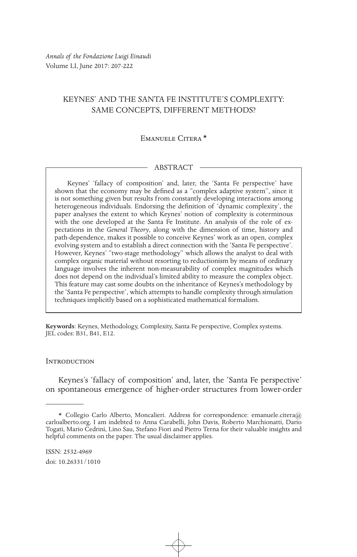*Annals of the Fondazione Luigi Einaudi* Volume LI, June 2017: 207-222

# KEYNES' AND THE SANTA FE INSTITUTE'S COMPLEXITY: SAME CONCEPTS, DIFFERENT METHODS?

## Emanuele Citera \*

### ABSTRACT

Keynes' 'fallacy of composition' and, later, the 'Santa Fe perspective' have shown that the economy may be defined as a "complex adaptive system", since it is not something given but results from constantly developing interactions among heterogeneous individuals. Endorsing the definition of 'dynamic complexity', the paper analyses the extent to which Keynes' notion of complexity is coterminous with the one developed at the Santa Fe Institute. An analysis of the role of expectations in the *General Theory*, along with the dimension of time, history and path-dependence, makes it possible to conceive Keynes' work as an open, complex evolving system and to establish a direct connection with the 'Santa Fe perspective'. However, Keynes' "two-stage methodology" which allows the analyst to deal with complex organic material without resorting to reductionism by means of ordinary language involves the inherent non-measurability of complex magnitudes which does not depend on the individual's limited ability to measure the complex object. This feature may cast some doubts on the inheritance of Keynes's methodology by the 'Santa Fe perspective', which attempts to handle complexity through simulation techniques implicitly based on a sophisticated mathematical formalism.

**Keywords**: Keynes, Methodology, Complexity, Santa Fe perspective, Complex systems. JEL codes: B31, B41, E12.

### **INTRODUCTION**

Keynes's 'fallacy of composition' and, later, the 'Santa Fe perspective' on spontaneous emergence of higher-order structures from lower-order

<sup>\*</sup> Collegio Carlo Alberto, Moncalieri. Address for correspondence: emanuele.citera@ carloalberto.org. I am indebted to Anna Carabelli, John Davis, Roberto Marchionatti, Dario Togati, Mario Cedrini, Lino Sau, Stefano Fiori and Pietro Terna for their valuable insights and helpful comments on the paper. The usual disclaimer applies.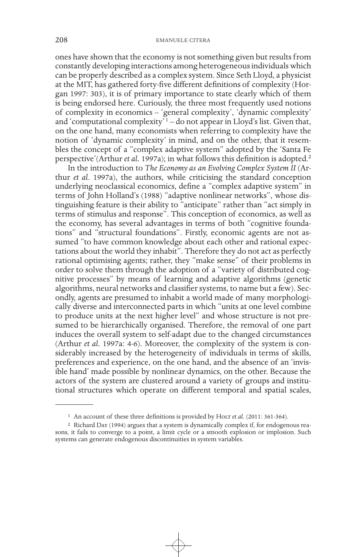ones have shown that the economy is not something given but results from constantly developing interactions among heterogeneous individuals which can be properly described as a complex system. Since Seth Lloyd, a physicist at the MIT, has gathered forty-five different definitions of complexity (Horgan 1997: 303), it is of primary importance to state clearly which of them is being endorsed here. Curiously, the three most frequently used notions of complexity in economics – 'general complexity', 'dynamic complexity' and 'computational complexity'<sup>1</sup> – do not appear in Lloyd's list. Given that, on the one hand, many economists when referring to complexity have the notion of 'dynamic complexity' in mind, and on the other, that it resembles the concept of a "complex adaptive system" adopted by the 'Santa Fe perspective'(Arthur *et al.* 1997a); in what follows this definition is adopted.2

In the introduction to *The Economy as an Evolving Complex System II* (Arthur *et al*. 1997a), the authors, while criticising the standard conception underlying neoclassical economics, define a "complex adaptive system" in terms of John Holland's (1988) "adaptive nonlinear networks", whose distinguishing feature is their ability to "anticipate" rather than "act simply in terms of stimulus and response". This conception of economics, as well as the economy, has several advantages in terms of both "cognitive foundations" and "structural foundations". Firstly, economic agents are not assumed "to have common knowledge about each other and rational expectations about the world they inhabit". Therefore they do not act as perfectly rational optimising agents; rather, they "make sense" of their problems in order to solve them through the adoption of a "variety of distributed cognitive processes" by means of learning and adaptive algorithms (genetic algorithms, neural networks and classifier systems, to name but a few). Secondly, agents are presumed to inhabit a world made of many morphologically diverse and interconnected parts in which "units at one level combine to produce units at the next higher level" and whose structure is not presumed to be hierarchically organised. Therefore, the removal of one part induces the overall system to self-adapt due to the changed circumstances (Arthur *et al*. 1997a: 4-6). Moreover, the complexity of the system is considerably increased by the heterogeneity of individuals in terms of skills, preferences and experience, on the one hand, and the absence of an 'invisible hand' made possible by nonlinear dynamics, on the other. Because the actors of the system are clustered around a variety of groups and institutional structures which operate on different temporal and spatial scales,

<sup>&</sup>lt;sup>1</sup> An account of these three definitions is provided by HoLT et al. (2011: 361-364).

<sup>2</sup> Richard Day (1994) argues that a system is dynamically complex if, for endogenous reasons, it fails to converge to a point, a limit cycle or a smooth explosion or implosion. Such systems can generate endogenous discontinuities in system variables.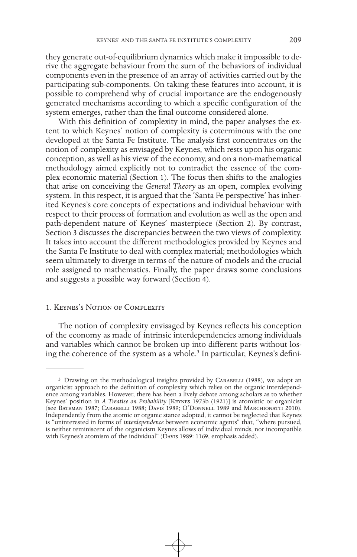they generate out-of-equilibrium dynamics which make it impossible to derive the aggregate behaviour from the sum of the behaviors of individual components even in the presence of an array of activities carried out by the participating sub-components. On taking these features into account, it is possible to comprehend why of crucial importance are the endogenously generated mechanisms according to which a specific configuration of the system emerges, rather than the final outcome considered alone.

With this definition of complexity in mind, the paper analyses the extent to which Keynes' notion of complexity is coterminous with the one developed at the Santa Fe Institute. The analysis first concentrates on the notion of complexity as envisaged by Keynes, which rests upon his organic conception, as well as his view of the economy, and on a non-mathematical methodology aimed explicitly not to contradict the essence of the complex economic material (Section 1). The focus then shifts to the analogies that arise on conceiving the *General Theory* as an open, complex evolving system. In this respect, it is argued that the 'Santa Fe perspective' has inherited Keynes's core concepts of expectations and individual behaviour with respect to their process of formation and evolution as well as the open and path-dependent nature of Keynes' masterpiece (Section 2). By contrast, Section 3 discusses the discrepancies between the two views of complexity. It takes into account the different methodologies provided by Keynes and the Santa Fe Institute to deal with complex material; methodologies which seem ultimately to diverge in terms of the nature of models and the crucial role assigned to mathematics. Finally, the paper draws some conclusions and suggests a possible way forward (Section 4).

## 1. Keynes's Notion of Complexity

The notion of complexity envisaged by Keynes reflects his conception of the economy as made of intrinsic interdependencies among individuals and variables which cannot be broken up into different parts without losing the coherence of the system as a whole.<sup>3</sup> In particular, Keynes's defini-

<sup>&</sup>lt;sup>3</sup> Drawing on the methodological insights provided by CARABELLI (1988), we adopt an organicist approach to the definition of complexity which relies on the organic interdependence among variables. However, there has been a lively debate among scholars as to whether Keynes' position in *A Treatise on Probability* [Keynes 1973b (1921)] is atomistic or organicist (see Bateman 1987; Carabelli 1988; Davis 1989; O'Donnell 1989 and Marchionatti 2010). Independently from the atomic or organic stance adopted, it cannot be neglected that Keynes is "uninterested in forms of *interdependence* between economic agents" that, "where pursued, is neither reminiscent of the organicism Keynes allows of individual minds, nor incompatible with Keynes's atomism of the individual" (DAVIS 1989: 1169, emphasis added).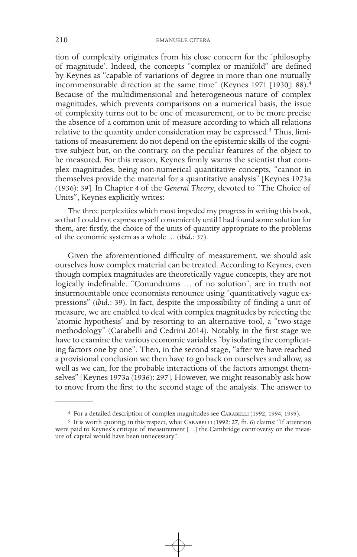tion of complexity originates from his close concern for the 'philosophy of magnitude'. Indeed, the concepts "complex or manifold" are defined by Keynes as "capable of variations of degree in more than one mutually incommensurable direction at the same time" (Keynes 1971 [1930]: 88).4 Because of the multidimensional and heterogeneous nature of complex magnitudes, which prevents comparisons on a numerical basis, the issue of complexity turns out to be one of measurement, or to be more precise the absence of a common unit of measure according to which all relations relative to the quantity under consideration may be expressed.<sup>5</sup> Thus, limitations of measurement do not depend on the epistemic skills of the cognitive subject but, on the contrary, on the peculiar features of the object to be measured. For this reason, Keynes firmly warns the scientist that complex magnitudes, being non-numerical quantitative concepts, "cannot in themselves provide the material for a quantitative analysis" [Keynes 1973a (1936): 39]. In Chapter 4 of the *General Theory*, devoted to "The Choice of Units", Keynes explicitly writes:

The three perplexities which most impeded my progress in writing this book, so that I could not express myself conveniently until I had found some solution for them, are: firstly, the choice of the units of quantity appropriate to the problems of the economic system as a whole … (*ibid.*: 37).

Given the aforementioned difficulty of measurement, we should ask ourselves how complex material can be treated. According to Keynes, even though complex magnitudes are theoretically vague concepts, they are not logically indefinable. "Conundrums … of no solution", are in truth not insurmountable once economists renounce using "quantitatively vague expressions" (*ibid.*: 39). In fact, despite the impossibility of finding a unit of measure, we are enabled to deal with complex magnitudes by rejecting the 'atomic hypothesis' and by resorting to an alternative tool, a "two-stage methodology" (Carabelli and Cedrini 2014). Notably, in the first stage we have to examine the various economic variables "by isolating the complicating factors one by one". Then, in the second stage, "after we have reached a provisional conclusion we then have to go back on ourselves and allow, as well as we can, for the probable interactions of the factors amongst themselves" [Keynes 1973a (1936): 297]. However, we might reasonably ask how to move from the first to the second stage of the analysis. The answer to

<sup>&</sup>lt;sup>4</sup> For a detailed description of complex magnitudes see CARABELLI (1992; 1994; 1995).

<sup>&</sup>lt;sup>5</sup> It is worth quoting, in this respect, what CARABELLI (1992: 27, fn. 6) claims: "If attention were paid to Keynes's critique of measurement […] the Cambridge controversy on the measure of capital would have been unnecessary".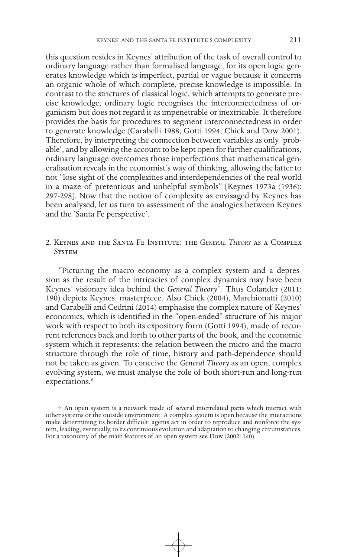this question resides in Keynes' attribution of the task of overall control to ordinary language rather than formalised language, for its open logic generates knowledge which is imperfect, partial or vague because it concerns an organic whole of which complete, precise knowledge is impossible. In contrast to the strictures of classical logic, which attempts to generate precise knowledge, ordinary logic recognises the interconnectedness of organicism but does not regard it as impenetrable or inextricable. It therefore provides the basis for procedures to segment interconnectedness in order to generate knowledge (Carabelli 1988; Gotti 1994; Chick and Dow 2001). Therefore, by interpreting the connection between variables as only 'probable', and by allowing the account to be kept open for further qualifications, ordinary language overcomes those imperfections that mathematical generalisation reveals in the economist's way of thinking, allowing the latter to not "lose sight of the complexities and interdependencies of the real world in a maze of pretentious and unhelpful symbols" [Keynes 1973a (1936): 297-298]. Now that the notion of complexity as envisaged by Keynes has been analysed, let us turn to assessment of the analogies between Keynes and the 'Santa Fe perspective'.

## 2. Keynes and the Santa Fe Institute: the *General Theory* as a Complex **SYSTEM**

"Picturing the macro economy as a complex system and a depression as the result of the intricacies of complex dynamics may have been Keynes' visionary idea behind the *General Theory*". Thus Colander (2011: 190) depicts Keynes' masterpiece. Also Chick (2004), Marchionatti (2010) and Carabelli and Cedrini (2014) emphasise the complex nature of Keynes' economics, which is identified in the "open-ended" structure of his major work with respect to both its expository form (Gotti 1994), made of recurrent references back and forth to other parts of the book, and the economic system which it represents: the relation between the micro and the macro structure through the role of time, history and path-dependence should not be taken as given. To conceive the *General Theory* as an open, complex evolving system, we must analyse the role of both short-run and long-run expectations.<sup>6</sup>

<sup>6</sup> An open system is a network made of several interrelated parts which interact with other systems or the outside environment. A complex system is open because the interactions make determining its border difficult: agents act in order to reproduce and reinforce the system, leading, eventually, to its continuous evolution and adaptation to changing circumstances. For a taxonomy of the main features of an open system see Dow (2002: 140).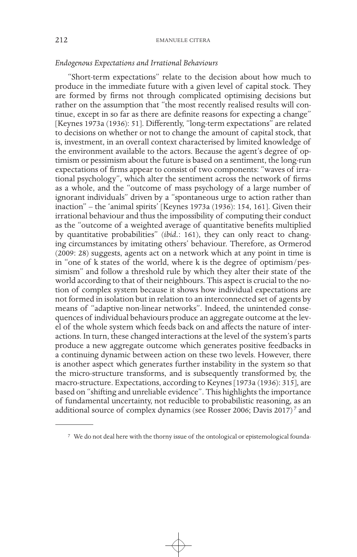## *Endogenous Expectations and Irrational Behaviours*

"Short-term expectations" relate to the decision about how much to produce in the immediate future with a given level of capital stock. They are formed by firms not through complicated optimising decisions but rather on the assumption that "the most recently realised results will continue, except in so far as there are definite reasons for expecting a change" [Keynes 1973a (1936): 51]. Differently, "long-term expectations" are related to decisions on whether or not to change the amount of capital stock, that is, investment, in an overall context characterised by limited knowledge of the environment available to the actors. Because the agent's degree of optimism or pessimism about the future is based on a sentiment, the long-run expectations of firms appear to consist of two components: "waves of irrational psychology", which alter the sentiment across the network of firms as a whole, and the "outcome of mass psychology of a large number of ignorant individuals" driven by a "spontaneous urge to action rather than inaction" – the 'animal spirits' [Keynes 1973a (1936): 154, 161]. Given their irrational behaviour and thus the impossibility of computing their conduct as the "outcome of a weighted average of quantitative benefits multiplied by quantitative probabilities" (*ibid.*: 161), they can only react to changing circumstances by imitating others' behaviour. Therefore, as Ormerod (2009: 28) suggests, agents act on a network which at any point in time is in "one of k states of the world, where k is the degree of optimism/pessimism" and follow a threshold rule by which they alter their state of the world according to that of their neighbours. This aspect is crucial to the notion of complex system because it shows how individual expectations are not formed in isolation but in relation to an interconnected set of agents by means of "adaptive non-linear networks". Indeed, the unintended consequences of individual behaviours produce an aggregate outcome at the level of the whole system which feeds back on and affects the nature of interactions. In turn, these changed interactions at the level of the system's parts produce a new aggregate outcome which generates positive feedbacks in a continuing dynamic between action on these two levels. However, there is another aspect which generates further instability in the system so that the micro-structure transforms, and is subsequently transformed by, the macro-structure. Expectations, according to Keynes [1973a (1936): 315], are based on "shifting and unreliable evidence". This highlights the importance of fundamental uncertainty, not reducible to probabilistic reasoning, as an additional source of complex dynamics (see Rosser 2006; Davis 2017)<sup>7</sup> and

<sup>7</sup> We do not deal here with the thorny issue of the ontological or epistemological founda-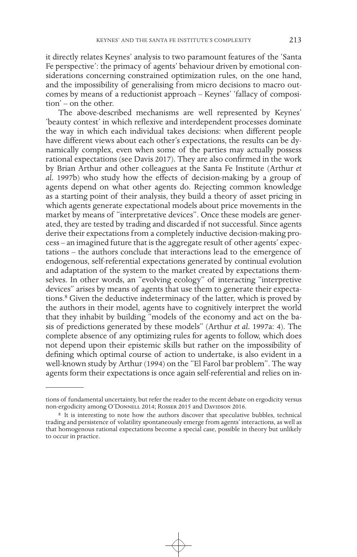it directly relates Keynes' analysis to two paramount features of the 'Santa Fe perspective': the primacy of agents' behaviour driven by emotional considerations concerning constrained optimization rules, on the one hand, and the impossibility of generalising from micro decisions to macro outcomes by means of a reductionist approach – Keynes' 'fallacy of composition' – on the other.

The above-described mechanisms are well represented by Keynes' 'beauty contest' in which reflexive and interdependent processes dominate the way in which each individual takes decisions: when different people have different views about each other's expectations, the results can be dynamically complex, even when some of the parties may actually possess rational expectations (see Davis 2017). They are also confirmed in the work by Brian Arthur and other colleagues at the Santa Fe Institute (Arthur *et al.* 1997b) who study how the effects of decision-making by a group of agents depend on what other agents do. Rejecting common knowledge as a starting point of their analysis, they build a theory of asset pricing in which agents generate expectational models about price movements in the market by means of "interpretative devices". Once these models are generated, they are tested by trading and discarded if not successful. Since agents derive their expectations from a completely inductive decision-making process – an imagined future that is the aggregate result of other agents' expectations – the authors conclude that interactions lead to the emergence of endogenous, self-referential expectations generated by continual evolution and adaptation of the system to the market created by expectations themselves. In other words, an "evolving ecology" of interacting "interpretive devices" arises by means of agents that use them to generate their expectations.8 Given the deductive indeterminacy of the latter, which is proved by the authors in their model, agents have to cognitively interpret the world that they inhabit by building "models of the economy and act on the basis of predictions generated by these models" (Arthur *et al.* 1997a: 4). The complete absence of any optimizing rules for agents to follow, which does not depend upon their epistemic skills but rather on the impossibility of defining which optimal course of action to undertake, is also evident in a well-known study by Arthur (1994) on the "El Farol bar problem". The way agents form their expectations is once again self-referential and relies on in-

tions of fundamental uncertainty, but refer the reader to the recent debate on ergodicity versus non-ergodicity among O'Donnell 2014; Rosser 2015 and Davidson 2016.

<sup>8</sup> It is interesting to note how the authors discover that speculative bubbles, technical trading and persistence of volatility spontaneously emerge from agents' interactions, as well as that homogenous rational expectations become a special case, possible in theory but unlikely to occur in practice.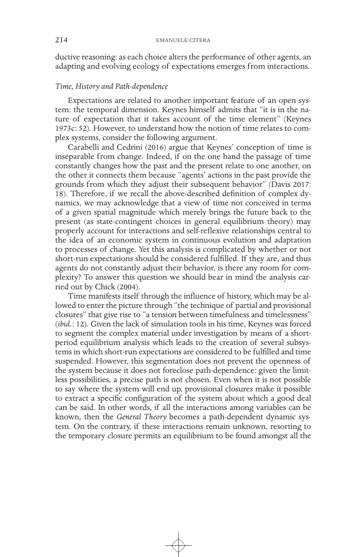ductive reasoning: as each choice alters the performance of other agents, an adapting and evolving ecology of expectations emerges from interactions.

## *Time, History and Path-dependence*

Expectations are related to another important feature of an open system: the temporal dimension. Keynes himself admits that "it is in the nature of expectation that it takes account of the time element" (Keynes 1973c: 52). However, to understand how the notion of time relates to complex systems, consider the following argument.

Carabelli and Cedrini (2016) argue that Keynes' conception of time is inseparable from change. Indeed, if on the one hand the passage of time constantly changes how the past and the present relate to one another, on the other it connects them because "agents' actions in the past provide the grounds from which they adjust their subsequent behavior" (Davis 2017: 18). Therefore, if we recall the above-described definition of complex dynamics, we may acknowledge that a view of time not conceived in terms of a given spatial magnitude which merely brings the future back to the present (as state-contingent choices in general equilibrium theory) may properly account for interactions and self-reflexive relationships central to the idea of an economic system in continuous evolution and adaptation to processes of change. Yet this analysis is complicated by whether or not short-run expectations should be considered fulfilled. If they are, and thus agents do not constantly adjust their behavior, is there any room for complexity? To answer this question we should bear in mind the analysis carried out by Chick (2004).

Time manifests itself through the influence of history, which may be allowed to enter the picture through "the technique of partial and provisional closures" that give rise to "a tension between timefulness and timelessness" (*ibid.*: 12). Given the lack of simulation tools in his time, Keynes was forced to segment the complex material under investigation by means of a shortperiod equilibrium analysis which leads to the creation of several subsystems in which short-run expectations are considered to be fulfilled and time suspended. However, this segmentation does not prevent the openness of the system because it does not foreclose path-dependence: given the limitless possibilities, a precise path is not chosen. Even when it is not possible to say where the system will end up, provisional closures make it possible to extract a specific configuration of the system about which a good deal can be said. In other words, if all the interactions among variables can be known, then the *General Theory* becomes a path-dependent dynamic system. On the contrary, if these interactions remain unknown, resorting to the temporary closure permits an equilibrium to be found amongst all the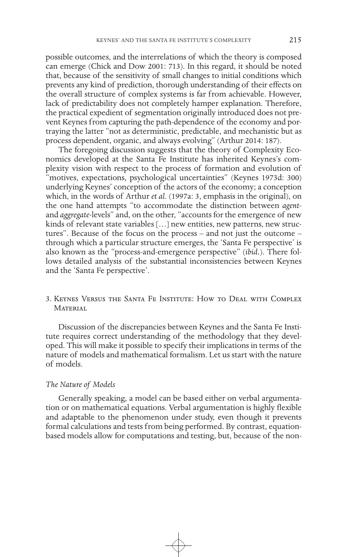possible outcomes, and the interrelations of which the theory is composed can emerge (Chick and Dow 2001: 713). In this regard, it should be noted that, because of the sensitivity of small changes to initial conditions which prevents any kind of prediction, thorough understanding of their effects on the overall structure of complex systems is far from achievable. However, lack of predictability does not completely hamper explanation. Therefore, the practical expedient of segmentation originally introduced does not prevent Keynes from capturing the path-dependence of the economy and portraying the latter "not as deterministic, predictable, and mechanistic but as process dependent, organic, and always evolving" (Arthur 2014: 187).

The foregoing discussion suggests that the theory of Complexity Economics developed at the Santa Fe Institute has inherited Keynes's complexity vision with respect to the process of formation and evolution of "motives, expectations, psychological uncertainties" (Keynes 1973d: 300) underlying Keynes' conception of the actors of the economy; a conception which, in the words of Arthur *et al*. (1997a: 3, emphasis in the original), on the one hand attempts "to accommodate the distinction between *agent*and *aggregate*-levels" and, on the other, "accounts for the emergence of new kinds of relevant state variables […] new entities, new patterns, new structures". Because of the focus on the process – and not just the outcome – through which a particular structure emerges, the 'Santa Fe perspective' is also known as the "process-and-emergence perspective" (*ibid.*). There follows detailed analysis of the substantial inconsistencies between Keynes and the 'Santa Fe perspective'.

3. Keynes Versus the Santa Fe Institute: How to Deal with Complex **MATERIAL** 

Discussion of the discrepancies between Keynes and the Santa Fe Institute requires correct understanding of the methodology that they developed. This will make it possible to specify their implications in terms of the nature of models and mathematical formalism. Let us start with the nature of models.

## *The Nature of Models*

Generally speaking, a model can be based either on verbal argumentation or on mathematical equations. Verbal argumentation is highly flexible and adaptable to the phenomenon under study, even though it prevents formal calculations and tests from being performed. By contrast, equationbased models allow for computations and testing, but, because of the non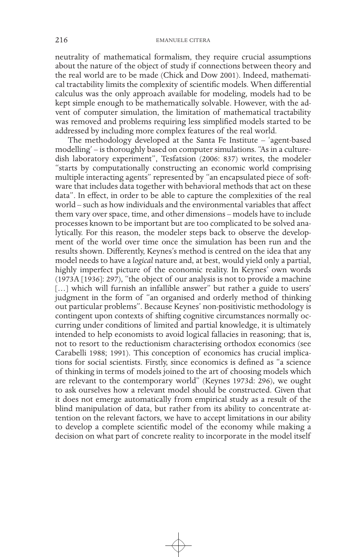neutrality of mathematical formalism, they require crucial assumptions about the nature of the object of study if connections between theory and the real world are to be made (Chick and Dow 2001). Indeed, mathematical tractability limits the complexity of scientific models. When differential calculus was the only approach available for modeling, models had to be kept simple enough to be mathematically solvable. However, with the advent of computer simulation, the limitation of mathematical tractability was removed and problems requiring less simplified models started to be addressed by including more complex features of the real world.

The methodology developed at the Santa Fe Institute – 'agent-based modelling' – is thoroughly based on computer simulations. "As in a culturedish laboratory experiment", Tesfatsion (2006: 837) writes, the modeler "starts by computationally constructing an economic world comprising multiple interacting agents" represented by "an encapsulated piece of software that includes data together with behavioral methods that act on these data". In effect, in order to be able to capture the complexities of the real world – such as how individuals and the environmental variables that affect them vary over space, time, and other dimensions – models have to include processes known to be important but are too complicated to be solved analytically. For this reason, the modeler steps back to observe the development of the world over time once the simulation has been run and the results shown. Differently, Keynes's method is centred on the idea that any model needs to have a *logical* nature and, at best, would yield only a partial, highly imperfect picture of the economic reality. In Keynes' own words (1973A [1936]: 297), "the object of our analysis is not to provide a machine [...] which will furnish an infallible answer" but rather a guide to users' judgment in the form of "an organised and orderly method of thinking out particular problems". Because Keynes' non-positivistic methodology is contingent upon contexts of shifting cognitive circumstances normally occurring under conditions of limited and partial knowledge, it is ultimately intended to help economists to avoid logical fallacies in reasoning; that is, not to resort to the reductionism characterising orthodox economics (see Carabelli 1988; 1991). This conception of economics has crucial implications for social scientists. Firstly, since economics is defined as "a science of thinking in terms of models joined to the art of choosing models which are relevant to the contemporary world" (Keynes 1973d: 296), we ought to ask ourselves how a relevant model should be constructed. Given that it does not emerge automatically from empirical study as a result of the blind manipulation of data, but rather from its ability to concentrate attention on the relevant factors, we have to accept limitations in our ability to develop a complete scientific model of the economy while making a decision on what part of concrete reality to incorporate in the model itself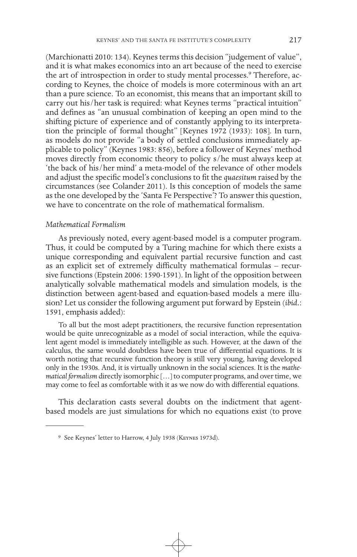(Marchionatti 2010: 134). Keynes terms this decision "judgement of value", and it is what makes economics into an art because of the need to exercise the art of introspection in order to study mental processes.<sup>9</sup> Therefore, according to Keynes, the choice of models is more coterminous with an art than a pure science. To an economist, this means that an important skill to carry out his/her task is required: what Keynes terms "practical intuition" and defines as "an unusual combination of keeping an open mind to the shifting picture of experience and of constantly applying to its interpretation the principle of formal thought" [Keynes 1972 (1933): 108]. In turn, as models do not provide "a body of settled conclusions immediately applicable to policy" (Keynes 1983: 856), before a follower of Keynes' method moves directly from economic theory to policy s/he must always keep at 'the back of his/her mind' a meta-model of the relevance of other models and adjust the specific model's conclusions to fit the *quaesitum* raised by the circumstances (see Colander 2011). Is this conception of models the same as the one developed by the 'Santa Fe Perspective'? To answer this question, we have to concentrate on the role of mathematical formalism.

## *Mathematical Formalism*

As previously noted, every agent-based model is a computer program. Thus, it could be computed by a Turing machine for which there exists a unique corresponding and equivalent partial recursive function and cast as an explicit set of extremely difficulty mathematical formulas – recursive functions (Epstein 2006: 1590-1591). In light of the opposition between analytically solvable mathematical models and simulation models, is the distinction between agent-based and equation-based models a mere illusion? Let us consider the following argument put forward by Epstein (*ibid.*: 1591, emphasis added):

To all but the most adept practitioners, the recursive function representation would be quite unrecognizable as a model of social interaction, while the equivalent agent model is immediately intelligible as such. However, at the dawn of the calculus, the same would doubtless have been true of differential equations. It is worth noting that recursive function theory is still very young, having developed only in the 1930s. And, it is virtually unknown in the social sciences. It is the *mathematical formalism* directly isomorphic […] to computer programs, and over time, we may come to feel as comfortable with it as we now do with differential equations.

This declaration casts several doubts on the indictment that agentbased models are just simulations for which no equations exist (to prove

<sup>9</sup> See Keynes' letter to Harrow, 4 July 1938 (Keynes 1973d).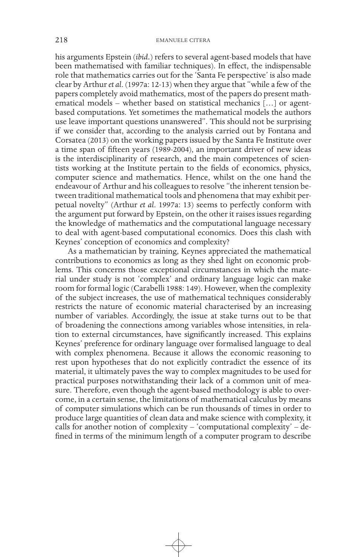his arguments Epstein (*ibid.*) refers to several agent-based models that have been mathematised with familiar techniques). In effect, the indispensable role that mathematics carries out for the 'Santa Fe perspective' is also made clear by Arthur *et al*. (1997a: 12-13) when they argue that "while a few of the papers completely avoid mathematics, most of the papers do present mathematical models – whether based on statistical mechanics [...] or agentbased computations. Yet sometimes the mathematical models the authors use leave important questions unanswered". This should not be surprising if we consider that, according to the analysis carried out by Fontana and Corsatea (2013) on the working papers issued by the Santa Fe Institute over a time span of fifteen years (1989-2004), an important driver of new ideas is the interdisciplinarity of research, and the main competences of scientists working at the Institute pertain to the fields of economics, physics, computer science and mathematics. Hence, whilst on the one hand the endeavour of Arthur and his colleagues to resolve "the inherent tension between traditional mathematical tools and phenomena that may exhibit perpetual novelty" (Arthur *et al*. 1997a: 13) seems to perfectly conform with the argument put forward by Epstein, on the other it raises issues regarding the knowledge of mathematics and the computational language necessary to deal with agent-based computational economics. Does this clash with Keynes' conception of economics and complexity?

As a mathematician by training, Keynes appreciated the mathematical contributions to economics as long as they shed light on economic problems. This concerns those exceptional circumstances in which the material under study is not 'complex' and ordinary language logic can make room for formal logic (Carabelli 1988: 149). However, when the complexity of the subject increases, the use of mathematical techniques considerably restricts the nature of economic material characterised by an increasing number of variables. Accordingly, the issue at stake turns out to be that of broadening the connections among variables whose intensities, in relation to external circumstances, have significantly increased. This explains Keynes' preference for ordinary language over formalised language to deal with complex phenomena. Because it allows the economic reasoning to rest upon hypotheses that do not explicitly contradict the essence of its material, it ultimately paves the way to complex magnitudes to be used for practical purposes notwithstanding their lack of a common unit of measure. Therefore, even though the agent-based methodology is able to overcome, in a certain sense, the limitations of mathematical calculus by means of computer simulations which can be run thousands of times in order to produce large quantities of clean data and make science with complexity, it calls for another notion of complexity – 'computational complexity' – defined in terms of the minimum length of a computer program to describe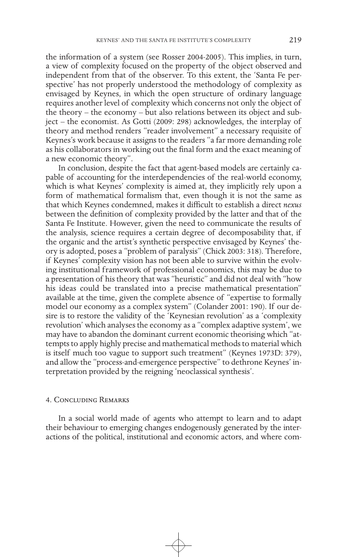the information of a system (see Rosser 2004-2005). This implies, in turn, a view of complexity focused on the property of the object observed and independent from that of the observer. To this extent, the 'Santa Fe perspective' has not properly understood the methodology of complexity as envisaged by Keynes, in which the open structure of ordinary language requires another level of complexity which concerns not only the object of the theory – the economy – but also relations between its object and subject – the economist. As Gotti (2009: 298) acknowledges, the interplay of theory and method renders "reader involvement" a necessary requisite of Keynes's work because it assigns to the readers "a far more demanding role as his collaborators in working out the final form and the exact meaning of a new economic theory".

In conclusion, despite the fact that agent-based models are certainly capable of accounting for the interdependencies of the real-world economy, which is what Keynes' complexity is aimed at, they implicitly rely upon a form of mathematical formalism that, even though it is not the same as that which Keynes condemned, makes it difficult to establish a direct *nexus*  between the definition of complexity provided by the latter and that of the Santa Fe Institute. However, given the need to communicate the results of the analysis, science requires a certain degree of decomposability that, if the organic and the artist's synthetic perspective envisaged by Keynes' theory is adopted, poses a "problem of paralysis" (Chick 2003: 318). Therefore, if Keynes' complexity vision has not been able to survive within the evolving institutional framework of professional economics, this may be due to a presentation of his theory that was "heuristic" and did not deal with "how his ideas could be translated into a precise mathematical presentation" available at the time, given the complete absence of "expertise to formally model our economy as a complex system" (Colander 2001: 190). If our desire is to restore the validity of the 'Keynesian revolution' as a 'complexity revolution' which analyses the economy as a "complex adaptive system', we may have to abandon the dominant current economic theorising which "attempts to apply highly precise and mathematical methods to material which is itself much too vague to support such treatment" (Keynes 1973D: 379), and allow the "process-and-emergence perspective" to dethrone Keynes' interpretation provided by the reigning 'neoclassical synthesis'.

#### 4. Concluding Remarks

In a social world made of agents who attempt to learn and to adapt their behaviour to emerging changes endogenously generated by the interactions of the political, institutional and economic actors, and where com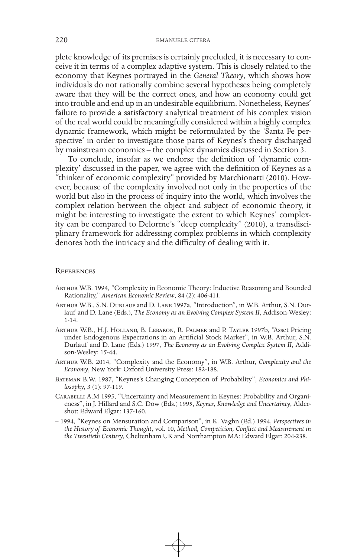plete knowledge of its premises is certainly precluded, it is necessary to conceive it in terms of a complex adaptive system. This is closely related to the economy that Keynes portrayed in the *General Theory*, which shows how individuals do not rationally combine several hypotheses being completely aware that they will be the correct ones, and how an economy could get into trouble and end up in an undesirable equilibrium. Nonetheless, Keynes' failure to provide a satisfactory analytical treatment of his complex vision of the real world could be meaningfully considered within a highly complex dynamic framework, which might be reformulated by the 'Santa Fe perspective' in order to investigate those parts of Keynes's theory discharged by mainstream economics – the complex dynamics discussed in Section 3.

To conclude, insofar as we endorse the definition of 'dynamic complexity' discussed in the paper, we agree with the definition of Keynes as a "thinker of economic complexity" provided by Marchionatti (2010). However, because of the complexity involved not only in the properties of the world but also in the process of inquiry into the world, which involves the complex relation between the object and subject of economic theory, it might be interesting to investigate the extent to which Keynes' complexity can be compared to Delorme's "deep complexity" (2010), a transdisciplinary framework for addressing complex problems in which complexity denotes both the intricacy and the difficulty of dealing with it.

#### **REFERENCES**

- Arthur W.B. 1994, "Complexity in Economic Theory: Inductive Reasoning and Bounded Rationality," *American Economic Review*, 84 (2): 406-411.
- Arthur W.B., S.N. Durlauf and D. Lane 1997a, "Introduction", in W.B. Arthur, S.N. Durlauf and D. Lane (Eds.), *The Economy as an Evolving Complex System II*, Addison-Wesley: 1-14.
- Arthur W.B., H.J. Holland, B. Lebaron, R. Palmer and P. Tayler 1997b, "Asset Pricing under Endogenous Expectations in an Artificial Stock Market", in W.B. Arthur, S.N. Durlauf and D. Lane (Eds.) 1997, *The Economy as an Evolving Complex System II*, Addison-Wesley: 15-44.
- Arthur W.B. 2014, "Complexity and the Economy", in W.B. Arthur, *Complexity and the Economy*, New York: Oxford University Press: 182-188.
- Bateman B.W. 1987, "Keynes's Changing Conception of Probability", *Economics and Philosophy*, 3 (1): 97-119.
- Carabelli A.M 1995, "Uncertainty and Measurement in Keynes: Probability and Organicness", in J. Hillard and S.C. Dow (Eds.) 1995, *Keynes, Knowledge and Uncertainty*, Aldershot: Edward Elgar: 137-160.
- 1994, "Keynes on Mensuration and Comparison", in K. Vaghn (Ed.) 1994, *Perspectives in the History of Economic Thought*, vol. 10, *Method, Competition, Conflict and Measurement in the Twentieth Century*, Cheltenham UK and Northampton MA: Edward Elgar: 204-238.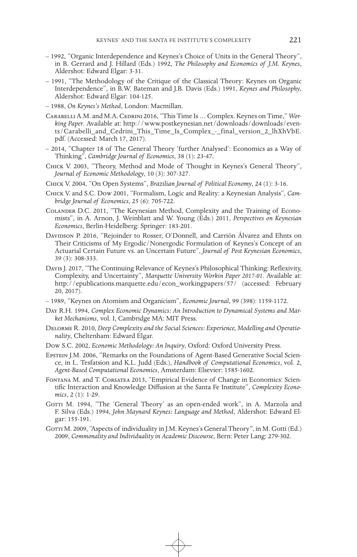- 1992, "Organic Interdependence and Keynes's Choice of Units in the General Theory", in B. Gerrard and J. Hillard (Eds.) 1992, *The Philosophy and Economics of J.M. Keynes*, Aldershot: Edward Elgar: 3-31.
- 1991, "The Methodology of the Critique of the Classical Theory: Keynes on Organic Interdependence", in B.W. Bateman and J.B. Davis (Eds.) 1991, *Keynes and Philosophy*, Aldershot: Edward Elgar: 104-125.
- 1988, *On Keynes's Method*, London: Macmillan.
- CARABELLI A.M. and M.A. CEDRINI 2016, "This Time Is ... Complex. Keynes on Time," *Working Paper*. Available at: http://www.postkeynesian.net/downloads/downloads/events/Carabelli and Cedrini This\_Time\_Is\_Complex\_-\_final\_version\_2\_lhXhVbE. pdf. (Accessed: March 17, 2017).
- 2014, "Chapter 18 of The General Theory 'further Analysed': Economics as a Way of Thinking", *Cambridge Journal of Economics*, 38 (1): 23-47.
- Chick V. 2003, "Theory, Method and Mode of Thought in Keynes's General Theory", *Journal of Economic Methodology*, 10 (3): 307-327.
- Chick V. 2004, "On Open Systems", *Brazilian Journal of Political Economy*, 24 (1): 3-16.
- Chick V. and S.C. Dow 2001, "Formalism, Logic and Reality: a Keynesian Analysis", *Cambridge Journal of Economics*, 25 (6): 705-722.
- Colander D.C. 2011, "The Keynesian Method, Complexity and the Training of Economists", in A. Arnon, J. Weinblatt and W. Young (Eds.) 2011, *Perspectives on Keynesian Economics*, Berlin-Heidelberg: Springer: 183-201.
- DAVIDSON P. 2016, "Rejoinder to Rosser, O'Donnell, and Carrión Álvarez and Ehnts on Their Criticisms of My Ergodic/Nonergodic Formulation of Keynes's Concept of an Actuarial Certain Future vs. an Uncertain Future", *Journal of Post Keynesian Economics*, 39 (3): 308-333.
- Davis J. 2017, "The Continuing Relevance of Keynes's Philosophical Thinking: Reflexivity, Complexity, and Uncertainty", *Marquette University Workin Paper 2017-01*. Available at: http://epublications.marquette.edu/econ\_workingpapers/57/ (accessed: February 20, 2017).
- 1989, "Keynes on Atomism and Organicism", *Economic Journal*, 99 (398): 1159-1172.
- Day R.H. 1994, *Complex Economic Dynamics: An Introduction to Dynamical Systems and Market Mechanisms*, vol. I, Cambridge MA: MIT Press.
- Delorme R. 2010, *Deep Complexity and the Social Sciences: Experience, Modelling and Operationality*, Cheltenham: Edward Elgar.
- Dow S.C. 2002, *Economic Methodology: An Inquiry*, Oxford: Oxford University Press.
- Epstein J.M. 2006, "Remarks on the Foundations of Agent-Based Generative Social Science, in L. Tesfatsion and K.L. Judd (Eds.), *Handbook of Computational Economics*, vol. 2, *Agent-Based Computational Economics*, Amsterdam: Elsevier: 1585-1602.
- Fontana M. and T. Corsatea 2013, "Empirical Evidence of Change in Economics: Scientific Interaction and Knowledge Diffusion at the Santa Fe Institute", *Complexity Economics*, 2 (1): 1-29.
- GOTTI M. 1994, "The 'General Theory' as an open-ended work", in A. Marzola and F. Silva (Eds.) 1994, *John Maynard Keynes: Language and Method*, Aldershot: Edward Elgar: 155-191.
- GOTTI M. 2009, "Aspects of individuality in J.M. Keynes's General Theory", in M. Gotti (Ed.) 2009, *Commonality and Individuality in Academic Discourse*, Bern: Peter Lang: 279-302.